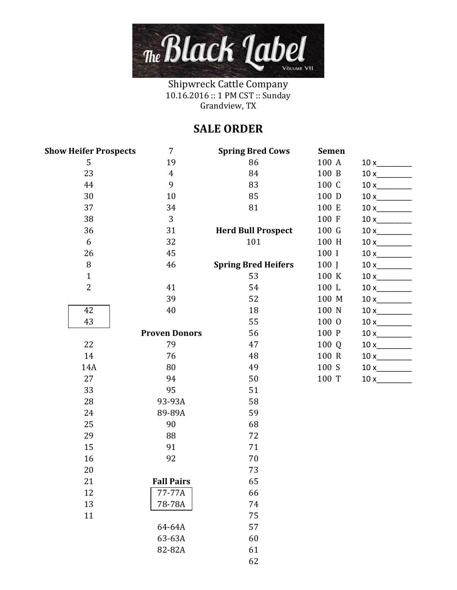

Shipwreck Cattle Company 10.16.2016 :: 1 PM CST :: Sunday Grandview, TX

## **SALE ORDER**

| <b>Show Heifer Prospects</b> | 7                    | <b>Spring Bred Cows</b>    | <b>Semen</b> |     |
|------------------------------|----------------------|----------------------------|--------------|-----|
| 5                            | 19                   | 86                         | 100 A        |     |
| 23                           | $\overline{4}$       | 84                         | 100 B        |     |
| 44                           | 9                    | 83                         | 100 C        |     |
| 30                           | 10                   | 85                         | 100 D        |     |
| 37                           | 34                   | 81                         | 100 E        | 10x |
| 38                           | 3                    |                            | 100 F        |     |
| 36                           | 31                   | <b>Herd Bull Prospect</b>  | 100 G        |     |
| 6                            | 32                   | 101                        | 100 H        |     |
| 26                           | 45                   |                            | 100 I        |     |
| $\, 8$                       | 46                   | <b>Spring Bred Heifers</b> | 100 J        |     |
| $\mathbf 1$                  |                      | 53                         | 100 K        | 10x |
| $\overline{2}$               | 41                   | 54                         | 100 L        |     |
|                              | 39                   | 52                         | 100 M        | 10x |
| 42                           | 40                   | 18                         | 100 N        | 10x |
| 43                           |                      | 55                         | 100 0        |     |
|                              | <b>Proven Donors</b> | 56                         | 100 P        |     |
| 22                           | 79                   | 47                         | 100 Q        | 10x |
| 14                           | 76                   | 48                         | 100 R        |     |
| 14A                          | 80                   | 49                         | 100 S        |     |
| 27                           | 94                   | 50                         | 100 T        |     |
| 33                           | 95                   | 51                         |              |     |
| 28                           | 93-93A               | 58                         |              |     |
| 24                           | 89-89A               | 59                         |              |     |
| 25                           | 90                   | 68                         |              |     |
| 29                           | 88                   | 72                         |              |     |
| 15                           | 91                   | 71                         |              |     |
| 16                           | 92                   | 70                         |              |     |
| 20                           |                      | 73                         |              |     |
| 21                           | <b>Fall Pairs</b>    | 65                         |              |     |
| 12                           | 77-77A               | 66                         |              |     |
| 13                           | 78-78A               | 74                         |              |     |
| 11                           |                      | 75                         |              |     |
|                              | 64-64A               | 57                         |              |     |
|                              | 63-63A               | 60                         |              |     |
|                              | 82-82A               | 61                         |              |     |
|                              |                      | 62                         |              |     |